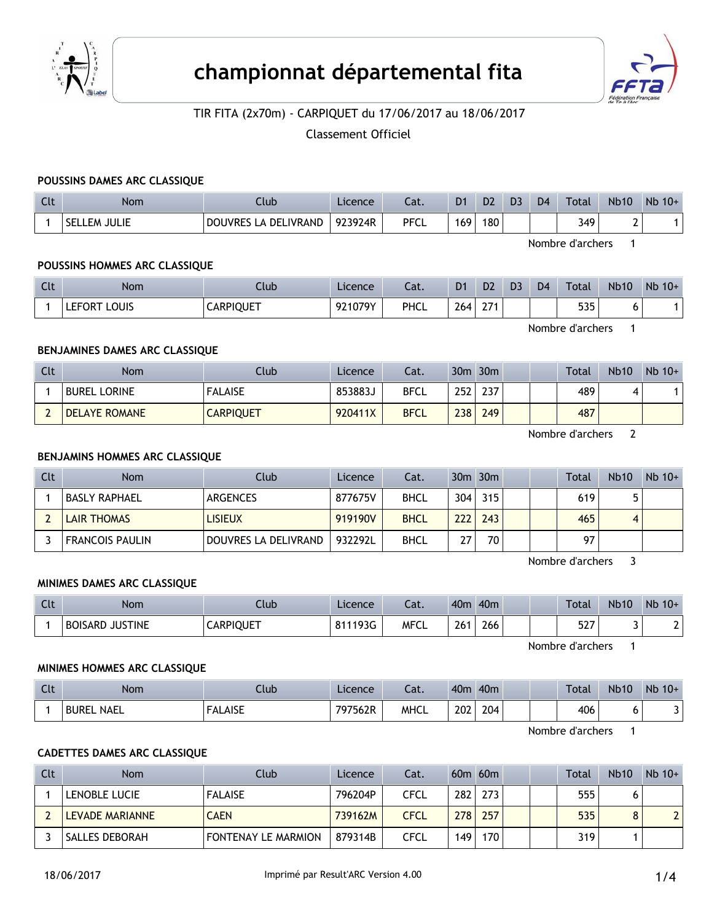



# TIR FITA (2x70m) - CARPIQUET du 17/06/2017 au 18/06/2017

Classement Officiel

#### **POUSSINS DAMES ARC CLASSIQUE**

| $\sim$<br>uu | Nom                 | Ilub                           | Licence | Lat.        | D <sub>1</sub>   | D <sub>2</sub> | D <sub>3</sub> | D <sub>4</sub> | Total | <b>Nb10</b> | $Nb$ 10+ |
|--------------|---------------------|--------------------------------|---------|-------------|------------------|----------------|----------------|----------------|-------|-------------|----------|
|              | <b>SELLEM JULIE</b> | LA DELIVRAND<br><b>DOUVRES</b> | 923924R | <b>PFCL</b> | 169 <sub>1</sub> | 180            |                |                | 349   |             |          |

Nombre d'archers 1

#### **POUSSINS HOMMES ARC CLASSIQUE**

| $\Gamma$<br>$\overline{\phantom{a}}$ | <b>Nom</b>             | Jub              | Licence | - 1<br>cal. | D <sub>1</sub> | D <sub>2</sub> | D <sub>3</sub> | D <sub>4</sub> | <b>Total</b> | <b>Nb10</b> | Nb<br>$10+$ |
|--------------------------------------|------------------------|------------------|---------|-------------|----------------|----------------|----------------|----------------|--------------|-------------|-------------|
|                                      | LOUIS<br><b>LEFORT</b> | <b>CARPIQUET</b> | 921079Y | PHCL        | 264            | 271<br>- 1     |                |                | ロつロ<br>JJJ   | $\cdot$     |             |

Nombre d'archers 1

#### **BENJAMINES DAMES ARC CLASSIQUE**

| Clt | <b>Nom</b>           | <b>Club</b>      | Licence | Cat.        | 30m  | 30 <sub>m</sub> |  | Total | <b>Nb10</b> | $Nb$ 10+ |
|-----|----------------------|------------------|---------|-------------|------|-----------------|--|-------|-------------|----------|
|     | <b>BUREL LORINE</b>  | <b>FALAISE</b>   | 853883J | <b>BFCL</b> | 252  | 237             |  | 489   |             |          |
|     | <b>DELAYE ROMANE</b> | <b>CARPIQUET</b> | 920411X | <b>BFCL</b> | 2381 | 249             |  | 487   |             |          |

Nombre d'archers 2

### **BENJAMINS HOMMES ARC CLASSIQUE**

| Clt | <b>Nom</b>             | Club                 | Licence | Cat.        |     | $30m$ $30m$     |  | Total | <b>Nb10</b> | $Nb 10+$ |
|-----|------------------------|----------------------|---------|-------------|-----|-----------------|--|-------|-------------|----------|
|     | <b>BASLY RAPHAEL</b>   | ARGENCES             | 877675V | <b>BHCL</b> | 304 | 315             |  | 619   |             |          |
|     | <b>LAIR THOMAS</b>     | <b>LISIEUX</b>       | 919190V | <b>BHCL</b> | 222 | 243             |  | 465   | 4           |          |
|     | <b>FRANCOIS PAULIN</b> | DOUVRES LA DELIVRAND | 932292L | <b>BHCL</b> | 27  | 70 <sub>1</sub> |  | 97    |             |          |

Nombre d'archers 3

### **MINIMES DAMES ARC CLASSIQUE**

| $C1+$<br>. | Nom             | Ilub             | Licence | - 51<br>cal. | 40 <sub>m</sub> | 40 <sub>m</sub> |  | Total     | <b>Nb10</b> | <b>N<sub>b</sub></b><br>$10+$ |
|------------|-----------------|------------------|---------|--------------|-----------------|-----------------|--|-----------|-------------|-------------------------------|
|            | BOISARD JUSTINE | <b>CARPIQUET</b> | 811193G | <b>MFCL</b>  | 261             | 266             |  | エつフ<br>ىد |             |                               |

Nombre d'archers 1

#### **MINIMES HOMMES ARC CLASSIQUE**

| $C1+$<br>المالية | Nom                         | Club           | Licence | Lat.        | 40 <sub>m</sub> | 40 <sub>m</sub> |  | Total | <b>Nb10</b> | Nb<br>$10+$ |
|------------------|-----------------------------|----------------|---------|-------------|-----------------|-----------------|--|-------|-------------|-------------|
|                  | <b>NAEL</b><br><b>BUREL</b> | <b>FALAISE</b> | 797562R | <b>MHCL</b> | 202<br>___      | 204             |  | 406   | v           |             |

Nombre d'archers 1

#### **CADETTES DAMES ARC CLASSIQUE**

| Clt | <b>Nom</b>             | Club.                      | Licence | Cat.        |     | $60m$ $60m$ |  | Total | <b>Nb10</b> | $Nb$ 10+ |
|-----|------------------------|----------------------------|---------|-------------|-----|-------------|--|-------|-------------|----------|
|     | LENOBLE LUCIE          | <b>FALAISE</b>             | 796204P | CFCL        | 282 | 273         |  | 555   |             |          |
|     | <b>LEVADE MARIANNE</b> | <b>CAEN</b>                | 739162M | <b>CFCL</b> | 278 | 257         |  | 535   | o<br>Ο      |          |
|     | ' SALLES DEBORAH       | <b>FONTENAY LE MARMION</b> | 879314B | CFCL        | 149 | 170         |  | 319   |             |          |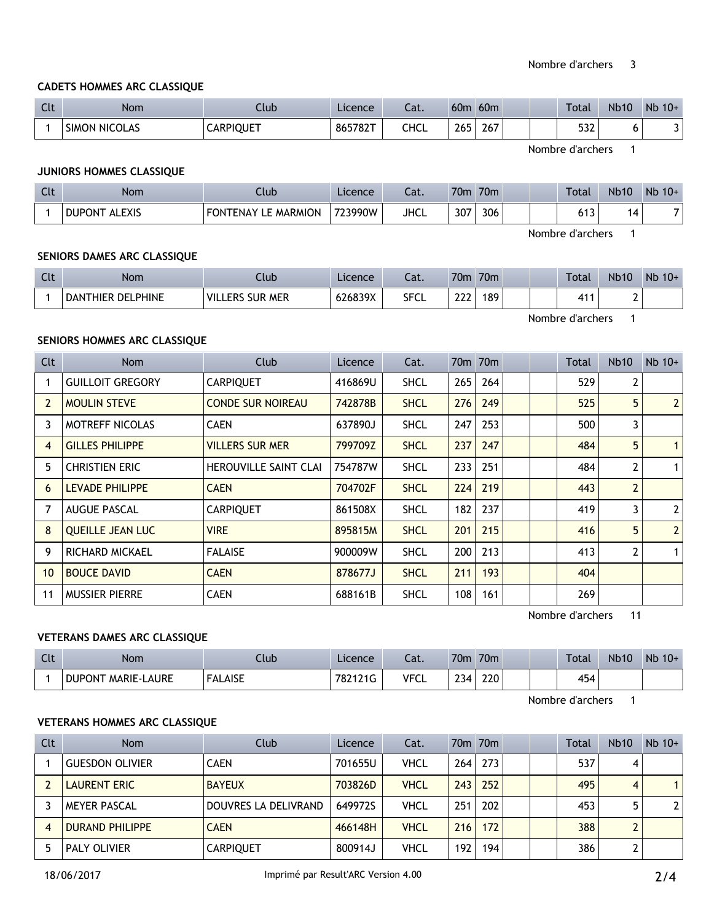### **CADETS HOMMES ARC CLASSIQUE**

| <b>Clt</b> | Nom           | Llub             | Licence | $-1$<br>cal. | 60 <sub>m</sub> | 60 <sub>m</sub> |  | Total        | <b>Nb10</b> | Nb<br>$10+$ |
|------------|---------------|------------------|---------|--------------|-----------------|-----------------|--|--------------|-------------|-------------|
|            | SIMON NICOLAS | <b>CARPIQUET</b> | 865782T | CHCL         | 265             | 267             |  | $-22$<br>ےدر |             | J           |

Nombre d'archers 1

# **JUNIORS HOMMES CLASSIQUE**

| Clt | <b>Nom</b>                     | Club                   | Licence | Lat.        | 70m | 70 <sub>m</sub> | <b>Total</b>            | <b>Nb10</b> | $Nb$ 10+ |
|-----|--------------------------------|------------------------|---------|-------------|-----|-----------------|-------------------------|-------------|----------|
|     | <b>ALEXIS</b><br><b>DUPONT</b> | LE MARMION<br>FONTENAY | 723990W | <b>JHCL</b> | 307 | 306             | $\sim$ 4. $\sim$<br>נוט | 4           |          |

Nombre d'archers 1

#### **SENIORS DAMES ARC CLASSIQUE**

| $\Gamma$<br><b>LIL</b> | Nom                    | Club                                  | Licence | Lat.        | 70 <sub>m</sub> | 70 <sub>m</sub> |  | Total | <b>Nb10</b> | Nb<br>$10+$ |
|------------------------|------------------------|---------------------------------------|---------|-------------|-----------------|-----------------|--|-------|-------------|-------------|
|                        | THIER DELPHINE<br>DANT | <b>SUR MER</b><br><b>VILL</b><br>.ERS | 626839X | <b>SFCL</b> | ววว<br>---      | 189             |  | 41'   |             |             |

Nombre d'archers 1

### **SENIORS HOMMES ARC CLASSIQUE**

| Clt            | Nom                     | Club                         | Licence | Cat.        |     | 70m 70m |  | Total | <b>Nb10</b>    | $Nb$ 10+       |
|----------------|-------------------------|------------------------------|---------|-------------|-----|---------|--|-------|----------------|----------------|
|                | <b>GUILLOIT GREGORY</b> | <b>CARPIQUET</b>             | 416869U | <b>SHCL</b> | 265 | 264     |  | 529   | 2              |                |
| $\overline{2}$ | <b>MOULIN STEVE</b>     | <b>CONDE SUR NOIREAU</b>     | 742878B | <b>SHCL</b> | 276 | 249     |  | 525   | 5              | $\overline{2}$ |
| 3              | <b>MOTREFF NICOLAS</b>  | <b>CAEN</b>                  | 637890J | <b>SHCL</b> | 247 | 253     |  | 500   | 3              |                |
| $\overline{4}$ | <b>GILLES PHILIPPE</b>  | <b>VILLERS SUR MER</b>       | 799709Z | <b>SHCL</b> | 237 | 247     |  | 484   | 5              | $\mathbf{1}$   |
| 5              | <b>CHRISTIEN ERIC</b>   | <b>HEROUVILLE SAINT CLAI</b> | 754787W | <b>SHCL</b> | 233 | 251     |  | 484   | 2              | $\mathbf{1}$   |
| 6              | <b>LEVADE PHILIPPE</b>  | <b>CAEN</b>                  | 704702F | <b>SHCL</b> | 224 | 219     |  | 443   | $\overline{2}$ |                |
| $\overline{7}$ | <b>AUGUE PASCAL</b>     | <b>CARPIQUET</b>             | 861508X | <b>SHCL</b> | 182 | 237     |  | 419   | 3              | $\overline{2}$ |
| 8              | <b>QUEILLE JEAN LUC</b> | <b>VIRE</b>                  | 895815M | <b>SHCL</b> | 201 | 215     |  | 416   | 5              | $\overline{2}$ |
| 9              | RICHARD MICKAEL         | <b>FALAISE</b>               | 900009W | <b>SHCL</b> | 200 | 213     |  | 413   | 2              | $\mathbf{1}$   |
| 10             | <b>BOUCE DAVID</b>      | <b>CAEN</b>                  | 878677J | <b>SHCL</b> | 211 | 193     |  | 404   |                |                |
| 11             | <b>MUSSIER PIERRE</b>   | <b>CAEN</b>                  | 688161B | <b>SHCL</b> | 108 | 161     |  | 269   |                |                |

Nombre d'archers 11

### **VETERANS DAMES ARC CLASSIQUE**

| Clt | Nom                       | Ilub           | Licence | $\sim$<br>cal. | 70 <sub>m</sub> | 70 <sub>m</sub> |  | Total | <b>Nb10</b> | Nb<br>$10+$ |
|-----|---------------------------|----------------|---------|----------------|-----------------|-----------------|--|-------|-------------|-------------|
|     | <b>DUPONT MARIE-LAURE</b> | <b>FALAISE</b> | 782121G | <b>VFCL</b>    | 234             | 220             |  | 454   |             |             |

Nombre d'archers 1

### **VETERANS HOMMES ARC CLASSIQUE**

| Clt | <b>Nom</b>             | Club                 | Licence | Cat.        |     | 70 <sub>m</sub> 70 <sub>m</sub> |  | Total | <b>Nb10</b> | $Nb$ 10+              |
|-----|------------------------|----------------------|---------|-------------|-----|---------------------------------|--|-------|-------------|-----------------------|
|     | <b>GUESDON OLIVIER</b> | <b>CAEN</b>          | 701655U | VHCL        | 264 | 273                             |  | 537   | 4           |                       |
|     | <b>LAURENT ERIC</b>    | <b>BAYEUX</b>        | 703826D | <b>VHCL</b> | 243 | 252                             |  | 495   | 4           | $\mathbf{1}$          |
|     | <b>MEYER PASCAL</b>    | DOUVRES LA DELIVRAND | 649972S | VHCL        | 251 | 202                             |  | 453   |             | $\mathbf{2}^{\prime}$ |
| 4   | <b>DURAND PHILIPPE</b> | <b>CAEN</b>          | 466148H | <b>VHCL</b> | 216 | 172                             |  | 388   |             |                       |
|     | <b>PALY OLIVIER</b>    | <b>CARPIQUET</b>     | 800914J | VHCL        | 192 | 194                             |  | 386   |             |                       |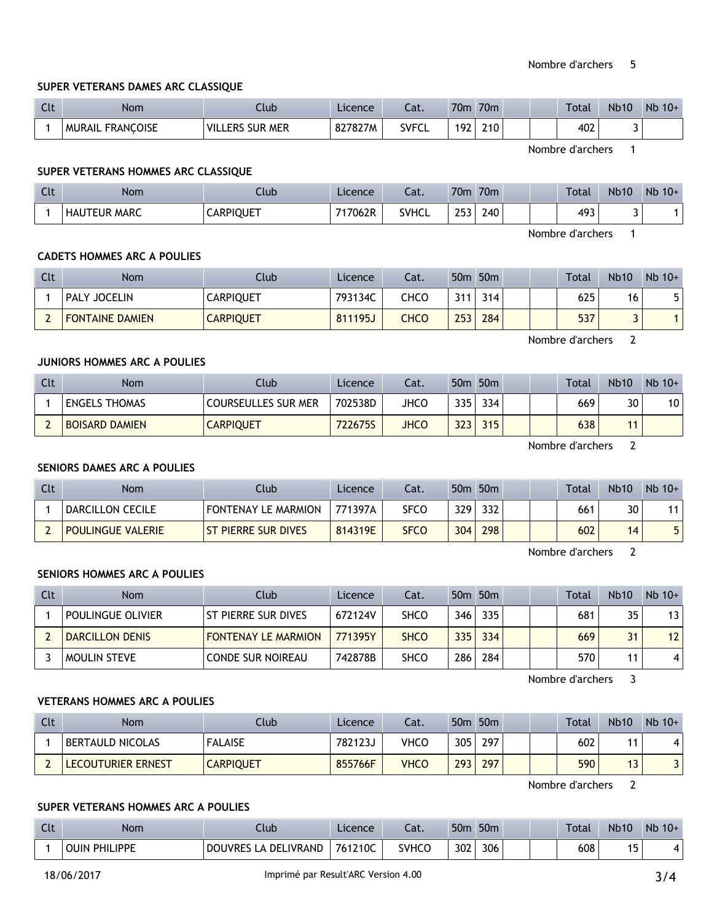# Nombre d'archers 5

# **SUPER VETERANS DAMES ARC CLASSIQUE**

| Clt | <b>Nom</b>                 | Club                             | Licence | Cat.         | 70 <sub>m</sub> | 70 <sub>m</sub> |  | <b>Total</b> | <b>Nb10</b> | Nb<br>$10+$ |
|-----|----------------------------|----------------------------------|---------|--------------|-----------------|-----------------|--|--------------|-------------|-------------|
|     | <b>FRANCOISE</b><br>MURAIL | <b>SUR MER</b><br>' VIL.<br>_ERS | 827827M | <b>SVFCL</b> | 192             | 210             |  | 402          |             |             |

Nombre d'archers 1

## **SUPER VETERANS HOMMES ARC CLASSIQUE**

| $C1+$<br>$\overline{\phantom{a}}$ | <b>Nom</b>          | Club             | Licence | Cat.         | 70 <sub>m</sub> | 70 <sub>m</sub> |  | Total | <b>Nb10</b> | Nb<br>$10+$ |
|-----------------------------------|---------------------|------------------|---------|--------------|-----------------|-----------------|--|-------|-------------|-------------|
|                                   | <b>HAUTEUR MARC</b> | <b>CARPIQUET</b> | 717062R | <b>SVHCL</b> | つにつ<br>ر ر_     | 240             |  | 493   |             |             |

Nombre d'archers 1

### **CADETS HOMMES ARC A POULIES**

| Clt | <b>Nom</b>             | Club             | Licence | Cat. | 50 <sub>m</sub> | 50 <sub>m</sub> |  | <b>Total</b> | <b>Nb10</b> | $Nb 10+$ |
|-----|------------------------|------------------|---------|------|-----------------|-----------------|--|--------------|-------------|----------|
|     | <b>PALY JOCELIN</b>    | CARPIQUET        | 793134C | снсс | 311             | 314             |  | 625          | 16          |          |
| -   | <b>FONTAINE DAMIEN</b> | <b>CARPIQUET</b> | 811195J | снсс | 253             | 284             |  | 537          | ں           |          |

Nombre d'archers 2

# **JUNIORS HOMMES ARC A POULIES**

| Clt | <b>Nom</b>            | Club                       | Licence        | Cat.        |     | 50 <sub>m</sub> 50 <sub>m</sub> |  | <b>Total</b> | <b>Nb10</b> | $Nb$ 10+ |
|-----|-----------------------|----------------------------|----------------|-------------|-----|---------------------------------|--|--------------|-------------|----------|
|     | <b>ENGELS THOMAS</b>  | <b>COURSEULLES SUR MER</b> | 702538D        | JHCO        | 335 | 334                             |  | 669          | 30          | 10       |
|     | <b>BOISARD DAMIEN</b> | CARPIQUET                  | <b>722675S</b> | <b>JHCC</b> | 323 | 315                             |  | 638          |             |          |

Nombre d'archers 2

## **SENIORS DAMES ARC A POULIES**

| Clt | Nom                      | Club.                      | Licence | Cat.        |      | 50m 50m |  | <b>Total</b> | <b>Nb10</b> | $Nb$ 10+ |
|-----|--------------------------|----------------------------|---------|-------------|------|---------|--|--------------|-------------|----------|
|     | DARCILLON CECILE         | <b>FONTENAY LE MARMION</b> | 771397A | <b>SFCO</b> | 329  | 332     |  | 661          | 30          |          |
|     | <b>POULINGUE VALERIE</b> | I ST PIERRE SUR DIVES      | 814319E | <b>SFCO</b> | 3041 | 298     |  | 602          | 14          |          |

Nombre d'archers 2

# **SENIORS HOMMES ARC A POULIES**

| Clt | Nom                    | Club                       | Licence | Cat.        |     | 50 <sub>m</sub> 50 <sub>m</sub> |  | Total | <b>Nb10</b> | $Nb$ 10+        |
|-----|------------------------|----------------------------|---------|-------------|-----|---------------------------------|--|-------|-------------|-----------------|
|     | i poulingue olivier    | ST PIERRE SUR DIVES        | 672124V | <b>SHCO</b> | 346 | 335                             |  | 681   | 35          | 13              |
|     | <b>DARCILLON DENIS</b> | <b>FONTENAY LE MARMION</b> | 771395Y | <b>SHCO</b> | 335 | 334                             |  | 669   | 31          | 12 <sub>1</sub> |
|     | <b>MOULIN STEVE</b>    | <b>CONDE SUR NOIREAU</b>   | 742878B | <b>SHCO</b> | 286 | 284                             |  | 570   |             |                 |

Nombre d'archers 3

# **VETERANS HOMMES ARC A POULIES**

| Clt | Nom                     | Club             | <b>Licence</b> | Cat.        | 50 <sub>m</sub> | 50 <sub>m</sub> |  | <b>Total</b> | <b>Nb10</b> | $Nb$ 10+ |
|-----|-------------------------|------------------|----------------|-------------|-----------------|-----------------|--|--------------|-------------|----------|
|     | <b>BERTAULD NICOLAS</b> | <b>FALAISE</b>   | 7821235        | VHCO        | 305             | 297             |  | 602          |             | 4        |
|     | LECOUTURIER ERNEST      | <b>CARPIQUET</b> | 855766F        | <b>VHCO</b> | 293             | 297             |  | 590          | ر ا         | D.       |

Nombre d'archers 2

## **SUPER VETERANS HOMMES ARC A POULIES**

| $C1+$<br>uu | <b>Nom</b>              | Club                                | Licence | $\sim$<br>-al. | 50 <sub>m</sub> | 50 <sub>m</sub> |  | Total | <b>Nb10</b> | <b>N<sub>b</sub></b><br>$10+$ |
|-------------|-------------------------|-------------------------------------|---------|----------------|-----------------|-----------------|--|-------|-------------|-------------------------------|
|             | PHILIPPE<br><b>OUIN</b> | LIVRAND<br><b>DOUVRES</b><br>LA DEL | 761210C | <b>SVHCO</b>   | 302             | 306             |  | 608   | IΕ<br>. J   |                               |